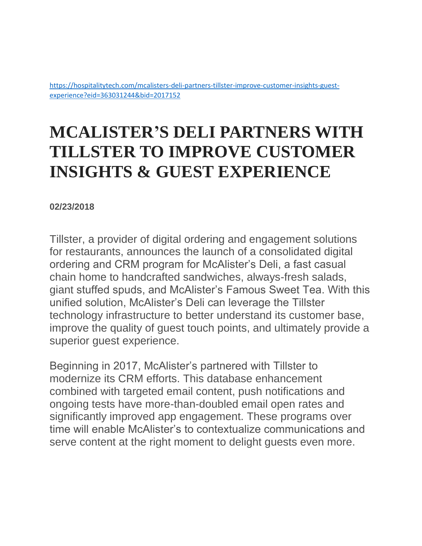[https://hospitalitytech.com/mcalisters-deli-partners-tillster-improve-customer-insights-guest](https://hospitalitytech.com/mcalisters-deli-partners-tillster-improve-customer-insights-guest-experience?eid=363031244&bid=2017152)[experience?eid=363031244&bid=2017152](https://hospitalitytech.com/mcalisters-deli-partners-tillster-improve-customer-insights-guest-experience?eid=363031244&bid=2017152)

## **MCALISTER'S DELI PARTNERS WITH TILLSTER TO IMPROVE CUSTOMER INSIGHTS & GUEST EXPERIENCE**

## **02/23/2018**

Tillster, a provider of digital ordering and engagement solutions for restaurants, announces the launch of a consolidated digital ordering and CRM program for McAlister's Deli, a fast casual chain home to handcrafted sandwiches, always-fresh salads, giant stuffed spuds, and McAlister's Famous Sweet Tea. With this unified solution, McAlister's Deli can leverage the Tillster technology infrastructure to better understand its customer base, improve the quality of guest touch points, and ultimately provide a superior guest experience.

Beginning in 2017, McAlister's partnered with Tillster to modernize its CRM efforts. This database enhancement combined with targeted email content, push notifications and ongoing tests have more-than-doubled email open rates and significantly improved app engagement. These programs over time will enable McAlister's to contextualize communications and serve content at the right moment to delight guests even more.